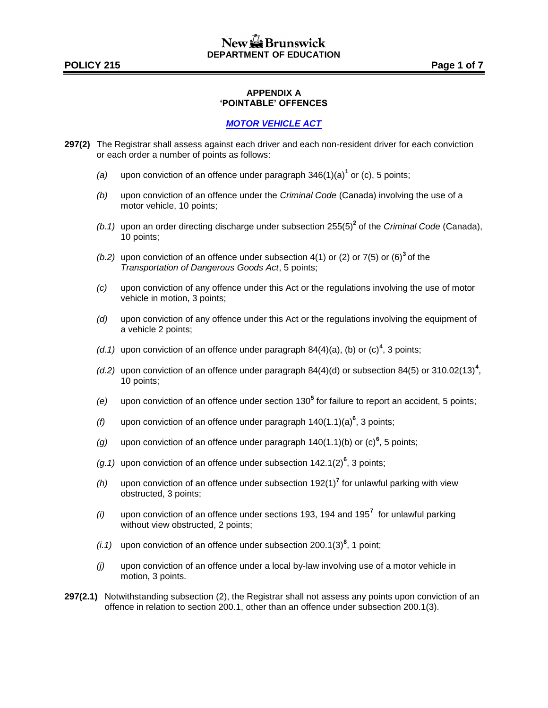## **POLICY 215 Page 1 of 7**

#### **APPENDIX A 'POINTABLE' OFFENCES**

## *[MOTOR VEHICLE ACT](http://laws.gnb.ca/en/ShowPdf/cs/M-17.pdf)*

- **297(2)** The Registrar shall assess against each driver and each non-resident driver for each conviction or each order a number of points as follows:
	- *(a)* upon conviction of an offence under paragraph 346(1)(a)**<sup>1</sup>** or (c), 5 points;
	- *(b)* upon conviction of an offence under the *Criminal Code* (Canada) involving the use of a motor vehicle, 10 points;
	- *(b.1)* upon an order directing discharge under subsection 255(5)**<sup>2</sup>** of the *Criminal Code* (Canada), 10 points;
	- *(b.2)* upon conviction of an offence under subsection 4(1) or (2) or 7(5) or (6)<sup>3</sup> of the *Transportation of Dangerous Goods Act*, 5 points;
	- *(c)* upon conviction of any offence under this Act or the regulations involving the use of motor vehicle in motion, 3 points;
	- *(d)* upon conviction of any offence under this Act or the regulations involving the equipment of a vehicle 2 points;
	- (d.1) upon conviction of an offence under paragraph  $84(4)(a)$ , (b) or (c)<sup>4</sup>, 3 points;
	- (d.2) upon conviction of an offence under paragraph  $84(4)(d)$  or subsection  $84(5)$  or  $310.02(13)<sup>4</sup>$ , 10 points;
	- *(e)* upon conviction of an offence under section 130**<sup>5</sup>** for failure to report an accident, 5 points;
	- *(f)* upon conviction of an offence under paragraph 140(1.1)(a)**<sup>6</sup>** , 3 points;
	- *(g)* upon conviction of an offence under paragraph 140(1.1)(b) or (c)**<sup>6</sup>** , 5 points;
	- *(g.1)* upon conviction of an offence under subsection 142.1(2)**<sup>6</sup>** , 3 points;
	- *(h)* upon conviction of an offence under subsection 192(1)**<sup>7</sup>** for unlawful parking with view obstructed, 3 points;
	- *(i)* upon conviction of an offence under sections 193, 194 and 195**<sup>7</sup>** for unlawful parking without view obstructed, 2 points;
	- $(i.1)$  upon conviction of an offence under subsection 200.1(3)<sup>8</sup>, 1 point;
	- *(j)* upon conviction of an offence under a local by-law involving use of a motor vehicle in motion, 3 points.
- **297(2.1)** Notwithstanding subsection (2), the Registrar shall not assess any points upon conviction of an offence in relation to section 200.1, other than an offence under subsection 200.1(3).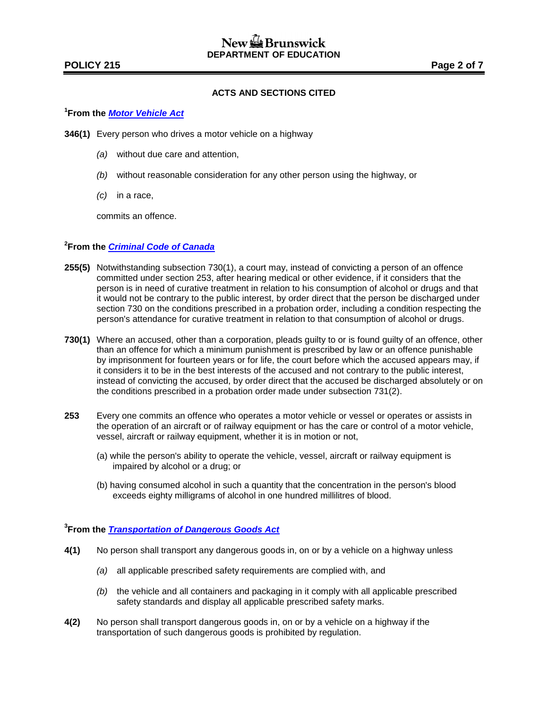## New La Brunswick **DEPARTMENT OF EDUCATION**

#### **POLICY 215 Page 2 of 7**

#### **ACTS AND SECTIONS CITED**

## **1 From the** *[Motor Vehicle Act](http://laws.gnb.ca/en/ShowPdf/cs/M-17.pdf)*

- **346(1)** Every person who drives a motor vehicle on a highway
	- *(a)* without due care and attention,
	- *(b)* without reasonable consideration for any other person using the highway, or
	- *(c)* in a race,

commits an offence.

### **2 From the** *[Criminal Code of Canada](http://laws-lois.justice.gc.ca/eng/acts/C-46/)*

- **255(5)** Notwithstanding subsection 730(1), a court may, instead of convicting a person of an offence committed under section 253, after hearing medical or other evidence, if it considers that the person is in need of curative treatment in relation to his consumption of alcohol or drugs and that it would not be contrary to the public interest, by order direct that the person be discharged under section 730 on the conditions prescribed in a probation order, including a condition respecting the person's attendance for curative treatment in relation to that consumption of alcohol or drugs.
- **730(1)** Where an accused, other than a corporation, pleads guilty to or is found guilty of an offence, other than an offence for which a minimum punishment is prescribed by law or an offence punishable by imprisonment for fourteen years or for life, the court before which the accused appears may, if it considers it to be in the best interests of the accused and not contrary to the public interest, instead of convicting the accused, by order direct that the accused be discharged absolutely or on the conditions prescribed in a probation order made under subsection 731(2).
- **253** Every one commits an offence who operates a motor vehicle or vessel or operates or assists in the operation of an aircraft or of railway equipment or has the care or control of a motor vehicle, vessel, aircraft or railway equipment, whether it is in motion or not,
	- (a) while the person's ability to operate the vehicle, vessel, aircraft or railway equipment is impaired by alcohol or a drug; or
	- (b) having consumed alcohol in such a quantity that the concentration in the person's blood exceeds eighty milligrams of alcohol in one hundred millilitres of blood.

#### **3 From the** *[Transportation of Dangerous Goods Act](http://laws.gnb.ca/fr/ShowPdf/cs/2011-c.232.pdf)*

- **4(1)** No person shall transport any dangerous goods in, on or by a vehicle on a highway unless
	- *(a)* all applicable prescribed safety requirements are complied with, and
	- *(b)* the vehicle and all containers and packaging in it comply with all applicable prescribed safety standards and display all applicable prescribed safety marks.
- **4(2)** No person shall transport dangerous goods in, on or by a vehicle on a highway if the transportation of such dangerous goods is prohibited by regulation.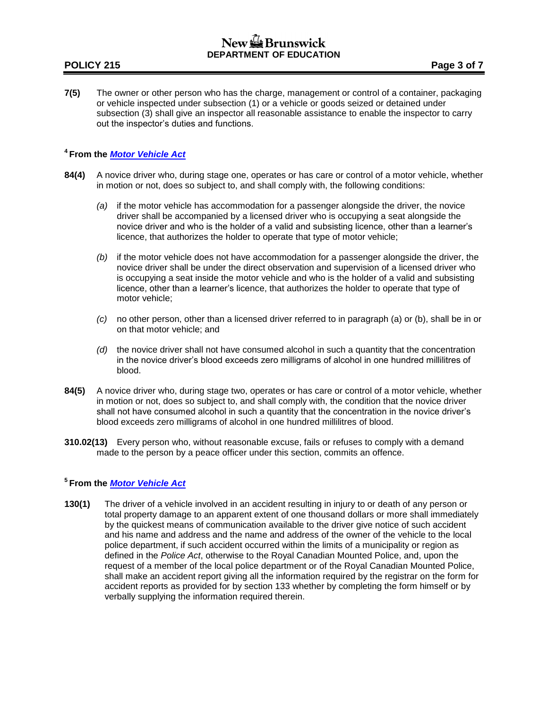# New & Brunswick **DEPARTMENT OF EDUCATION**

## **POLICY 215 Page 3 of 7**

**7(5)** The owner or other person who has the charge, management or control of a container, packaging or vehicle inspected under subsection (1) or a vehicle or goods seized or detained under subsection (3) shall give an inspector all reasonable assistance to enable the inspector to carry out the inspector's duties and functions.

## **<sup>4</sup>From the** *[Motor Vehicle Act](http://laws.gnb.ca/en/ShowPdf/cs/M-17.pdf)*

- **84(4)** A novice driver who, during stage one, operates or has care or control of a motor vehicle, whether in motion or not, does so subject to, and shall comply with, the following conditions:
	- *(a)* if the motor vehicle has accommodation for a passenger alongside the driver, the novice driver shall be accompanied by a licensed driver who is occupying a seat alongside the novice driver and who is the holder of a valid and subsisting licence, other than a learner's licence, that authorizes the holder to operate that type of motor vehicle;
	- *(b)* if the motor vehicle does not have accommodation for a passenger alongside the driver, the novice driver shall be under the direct observation and supervision of a licensed driver who is occupying a seat inside the motor vehicle and who is the holder of a valid and subsisting licence, other than a learner's licence, that authorizes the holder to operate that type of motor vehicle;
	- *(c)* no other person, other than a licensed driver referred to in paragraph (a) or (b), shall be in or on that motor vehicle; and
	- *(d)* the novice driver shall not have consumed alcohol in such a quantity that the concentration in the novice driver's blood exceeds zero milligrams of alcohol in one hundred millilitres of blood.
- **84(5)** A novice driver who, during stage two, operates or has care or control of a motor vehicle, whether in motion or not, does so subject to, and shall comply with, the condition that the novice driver shall not have consumed alcohol in such a quantity that the concentration in the novice driver's blood exceeds zero milligrams of alcohol in one hundred millilitres of blood.
- **310.02(13)** Every person who, without reasonable excuse, fails or refuses to comply with a demand made to the person by a peace officer under this section, commits an offence.

## **<sup>5</sup>From the** *[Motor Vehicle Act](http://laws.gnb.ca/en/ShowPdf/cs/M-17.pdf)*

**130(1)** The driver of a vehicle involved in an accident resulting in injury to or death of any person or total property damage to an apparent extent of one thousand dollars or more shall immediately by the quickest means of communication available to the driver give notice of such accident and his name and address and the name and address of the owner of the vehicle to the local police department, if such accident occurred within the limits of a municipality or region as defined in the *Police Act*, otherwise to the Royal Canadian Mounted Police, and, upon the request of a member of the local police department or of the Royal Canadian Mounted Police, shall make an accident report giving all the information required by the registrar on the form for accident reports as provided for by section 133 whether by completing the form himself or by verbally supplying the information required therein.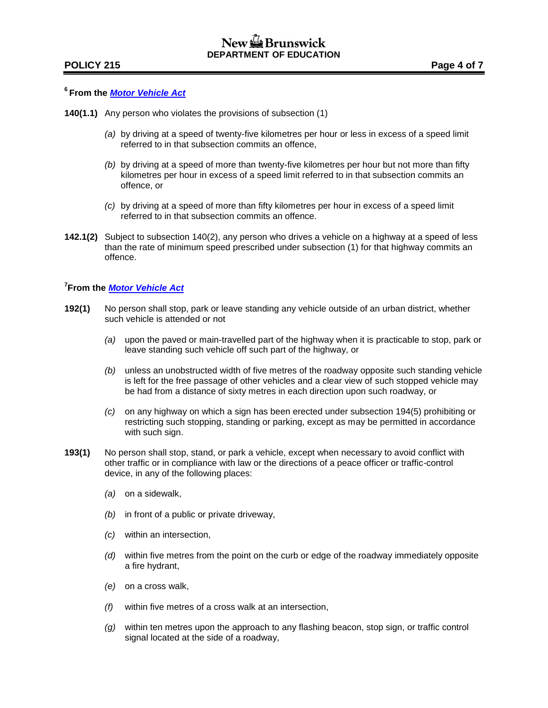#### **POLICY 215 Page 4 of 7**

#### **<sup>6</sup>From the** *[Motor Vehicle Act](http://laws.gnb.ca/en/ShowPdf/cs/M-17.pdf)*

- **140(1.1)** Any person who violates the provisions of subsection (1)
	- *(a)* by driving at a speed of twenty-five kilometres per hour or less in excess of a speed limit referred to in that subsection commits an offence,
	- *(b)* by driving at a speed of more than twenty-five kilometres per hour but not more than fifty kilometres per hour in excess of a speed limit referred to in that subsection commits an offence, or
	- *(c)* by driving at a speed of more than fifty kilometres per hour in excess of a speed limit referred to in that subsection commits an offence.
- **142.1(2)** Subject to subsection 140(2), any person who drives a vehicle on a highway at a speed of less than the rate of minimum speed prescribed under subsection (1) for that highway commits an offence.

### **7 From the** *[Motor Vehicle Act](http://laws.gnb.ca/en/ShowPdf/cs/M-17.pdf)*

- **192(1)** No person shall stop, park or leave standing any vehicle outside of an urban district, whether such vehicle is attended or not
	- *(a)* upon the paved or main-travelled part of the highway when it is practicable to stop, park or leave standing such vehicle off such part of the highway, or
	- *(b)* unless an unobstructed width of five metres of the roadway opposite such standing vehicle is left for the free passage of other vehicles and a clear view of such stopped vehicle may be had from a distance of sixty metres in each direction upon such roadway, or
	- *(c)* on any highway on which a sign has been erected under subsection 194(5) prohibiting or restricting such stopping, standing or parking, except as may be permitted in accordance with such sign.
- **193(1)** No person shall stop, stand, or park a vehicle, except when necessary to avoid conflict with other traffic or in compliance with law or the directions of a peace officer or traffic-control device, in any of the following places:
	- *(a)* on a sidewalk,
	- *(b)* in front of a public or private driveway,
	- *(c)* within an intersection,
	- *(d)* within five metres from the point on the curb or edge of the roadway immediately opposite a fire hydrant,
	- *(e)* on a cross walk,
	- *(f)* within five metres of a cross walk at an intersection,
	- *(g)* within ten metres upon the approach to any flashing beacon, stop sign, or traffic control signal located at the side of a roadway,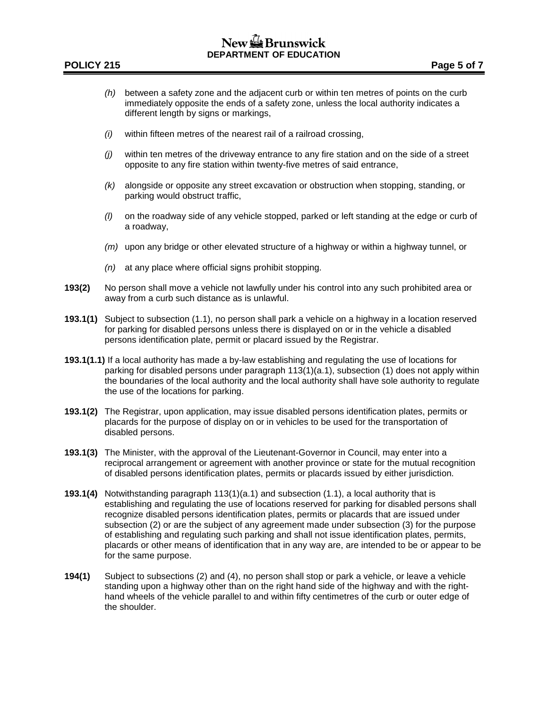# New & Brunswick **DEPARTMENT OF EDUCATION**

#### **POLICY 215 Page 5 of 7**

- *(h)* between a safety zone and the adjacent curb or within ten metres of points on the curb immediately opposite the ends of a safety zone, unless the local authority indicates a different length by signs or markings,
- *(i)* within fifteen metres of the nearest rail of a railroad crossing,
- *(j)* within ten metres of the driveway entrance to any fire station and on the side of a street opposite to any fire station within twenty-five metres of said entrance,
- *(k)* alongside or opposite any street excavation or obstruction when stopping, standing, or parking would obstruct traffic,
- *(l)* on the roadway side of any vehicle stopped, parked or left standing at the edge or curb of a roadway,
- *(m)* upon any bridge or other elevated structure of a highway or within a highway tunnel, or
- *(n)* at any place where official signs prohibit stopping.
- **193(2)** No person shall move a vehicle not lawfully under his control into any such prohibited area or away from a curb such distance as is unlawful.
- **193.1(1)** Subject to subsection (1.1), no person shall park a vehicle on a highway in a location reserved for parking for disabled persons unless there is displayed on or in the vehicle a disabled persons identification plate, permit or placard issued by the Registrar.
- **193.1(1.1)** If a local authority has made a by-law establishing and regulating the use of locations for parking for disabled persons under paragraph 113(1)(a.1), subsection (1) does not apply within the boundaries of the local authority and the local authority shall have sole authority to regulate the use of the locations for parking.
- **193.1(2)** The Registrar, upon application, may issue disabled persons identification plates, permits or placards for the purpose of display on or in vehicles to be used for the transportation of disabled persons.
- **193.1(3)** The Minister, with the approval of the Lieutenant-Governor in Council, may enter into a reciprocal arrangement or agreement with another province or state for the mutual recognition of disabled persons identification plates, permits or placards issued by either jurisdiction.
- **193.1(4)** Notwithstanding paragraph 113(1)(a.1) and subsection (1.1), a local authority that is establishing and regulating the use of locations reserved for parking for disabled persons shall recognize disabled persons identification plates, permits or placards that are issued under subsection (2) or are the subject of any agreement made under subsection (3) for the purpose of establishing and regulating such parking and shall not issue identification plates, permits, placards or other means of identification that in any way are, are intended to be or appear to be for the same purpose.
- **194(1)** Subject to subsections (2) and (4), no person shall stop or park a vehicle, or leave a vehicle standing upon a highway other than on the right hand side of the highway and with the righthand wheels of the vehicle parallel to and within fifty centimetres of the curb or outer edge of the shoulder.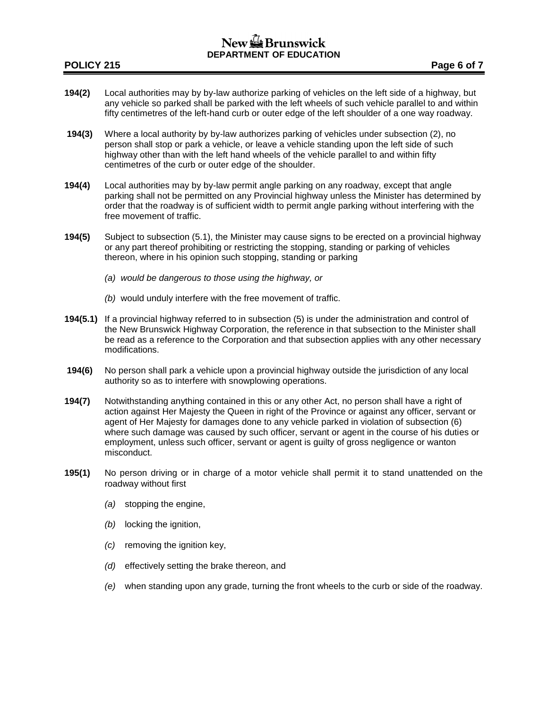# New & Brunswick **DEPARTMENT OF EDUCATION**

#### **POLICY 215 Page 6 of 7**

- **194(2)** Local authorities may by by-law authorize parking of vehicles on the left side of a highway, but any vehicle so parked shall be parked with the left wheels of such vehicle parallel to and within fifty centimetres of the left-hand curb or outer edge of the left shoulder of a one way roadway.
- **194(3)** Where a local authority by by-law authorizes parking of vehicles under subsection (2), no person shall stop or park a vehicle, or leave a vehicle standing upon the left side of such highway other than with the left hand wheels of the vehicle parallel to and within fifty centimetres of the curb or outer edge of the shoulder.
- **194(4)** Local authorities may by by-law permit angle parking on any roadway, except that angle parking shall not be permitted on any Provincial highway unless the Minister has determined by order that the roadway is of sufficient width to permit angle parking without interfering with the free movement of traffic.
- **194(5)** Subject to subsection (5.1), the Minister may cause signs to be erected on a provincial highway or any part thereof prohibiting or restricting the stopping, standing or parking of vehicles thereon, where in his opinion such stopping, standing or parking
	- *(a) would be dangerous to those using the highway, or*
	- *(b)* would unduly interfere with the free movement of traffic.
- **194(5.1)** If a provincial highway referred to in subsection (5) is under the administration and control of the New Brunswick Highway Corporation, the reference in that subsection to the Minister shall be read as a reference to the Corporation and that subsection applies with any other necessary modifications.
- **194(6)** No person shall park a vehicle upon a provincial highway outside the jurisdiction of any local authority so as to interfere with snowplowing operations.
- **194(7)** Notwithstanding anything contained in this or any other Act, no person shall have a right of action against Her Majesty the Queen in right of the Province or against any officer, servant or agent of Her Majesty for damages done to any vehicle parked in violation of subsection (6) where such damage was caused by such officer, servant or agent in the course of his duties or employment, unless such officer, servant or agent is guilty of gross negligence or wanton misconduct.
- **195(1)** No person driving or in charge of a motor vehicle shall permit it to stand unattended on the roadway without first
	- *(a)* stopping the engine,
	- *(b)* locking the ignition,
	- *(c)* removing the ignition key,
	- *(d)* effectively setting the brake thereon, and
	- *(e)* when standing upon any grade, turning the front wheels to the curb or side of the roadway.